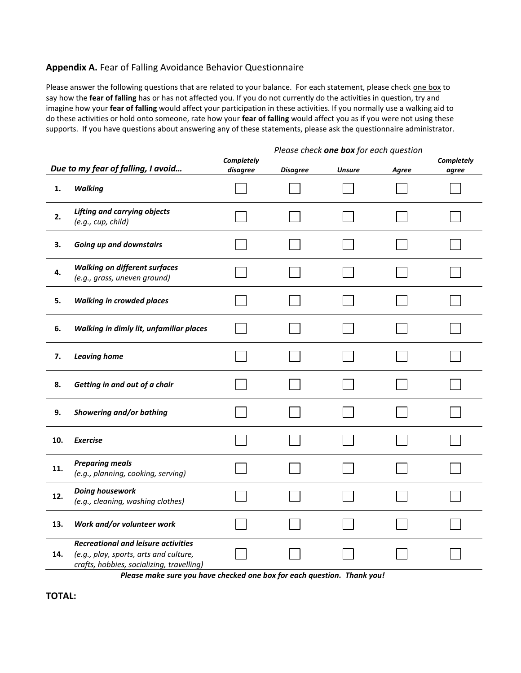## **Appendix A.** Fear of Falling Avoidance Behavior Questionnaire

Please answer the following questions that are related to your balance. For each statement, please check one box to say how the **fear of falling** has or has not affected you. If you do not currently do the activities in question, try and imagine how your **fear of falling** would affect your participation in these activities. If you normally use a walking aid to do these activities or hold onto someone, rate how your **fear of falling** would affect you as if you were not using these supports.If you have questions about answering any of these statements, please ask the questionnaire administrator.

## *Please check one box for each question*

|     | Due to my fear of falling, I avoid                                                                                                                                                                                    | Completely<br>disagree | <b>Disagree</b> | <b>Unsure</b> | Agree | Completely<br>agree |
|-----|-----------------------------------------------------------------------------------------------------------------------------------------------------------------------------------------------------------------------|------------------------|-----------------|---------------|-------|---------------------|
| 1.  | <b>Walking</b>                                                                                                                                                                                                        |                        |                 |               |       |                     |
| 2.  | <b>Lifting and carrying objects</b><br>(e.g., cup, child)                                                                                                                                                             |                        |                 |               |       |                     |
| 3.  | Going up and downstairs                                                                                                                                                                                               |                        |                 |               |       |                     |
| 4.  | <b>Walking on different surfaces</b><br>(e.g., grass, uneven ground)                                                                                                                                                  |                        |                 |               |       |                     |
| 5.  | <b>Walking in crowded places</b>                                                                                                                                                                                      |                        |                 |               |       |                     |
| 6.  | Walking in dimly lit, unfamiliar places                                                                                                                                                                               |                        |                 |               |       |                     |
| 7.  | <b>Leaving home</b>                                                                                                                                                                                                   |                        |                 |               |       |                     |
| 8.  | Getting in and out of a chair                                                                                                                                                                                         |                        |                 |               |       |                     |
| 9.  | Showering and/or bathing                                                                                                                                                                                              |                        |                 |               |       |                     |
| 10. | <b>Exercise</b>                                                                                                                                                                                                       |                        |                 |               |       |                     |
| 11. | <b>Preparing meals</b><br>(e.g., planning, cooking, serving)                                                                                                                                                          |                        |                 |               |       |                     |
| 12. | Doing housework<br>(e.g., cleaning, washing clothes)                                                                                                                                                                  |                        |                 |               |       |                     |
| 13. | Work and/or volunteer work                                                                                                                                                                                            |                        |                 |               |       |                     |
| 14. | <b>Recreational and leisure activities</b><br>(e.g., play, sports, arts and culture,<br>crafts, hobbies, socializing, travelling)<br>$\mathbf{r}$ and $\mathbf{r}$ and $\mathbf{r}$ and $\mathbf{r}$ and $\mathbf{r}$ |                        |                 |               |       |                     |

*Please make sure you have checked one box for each question. Thank you!*

**TOTAL:**